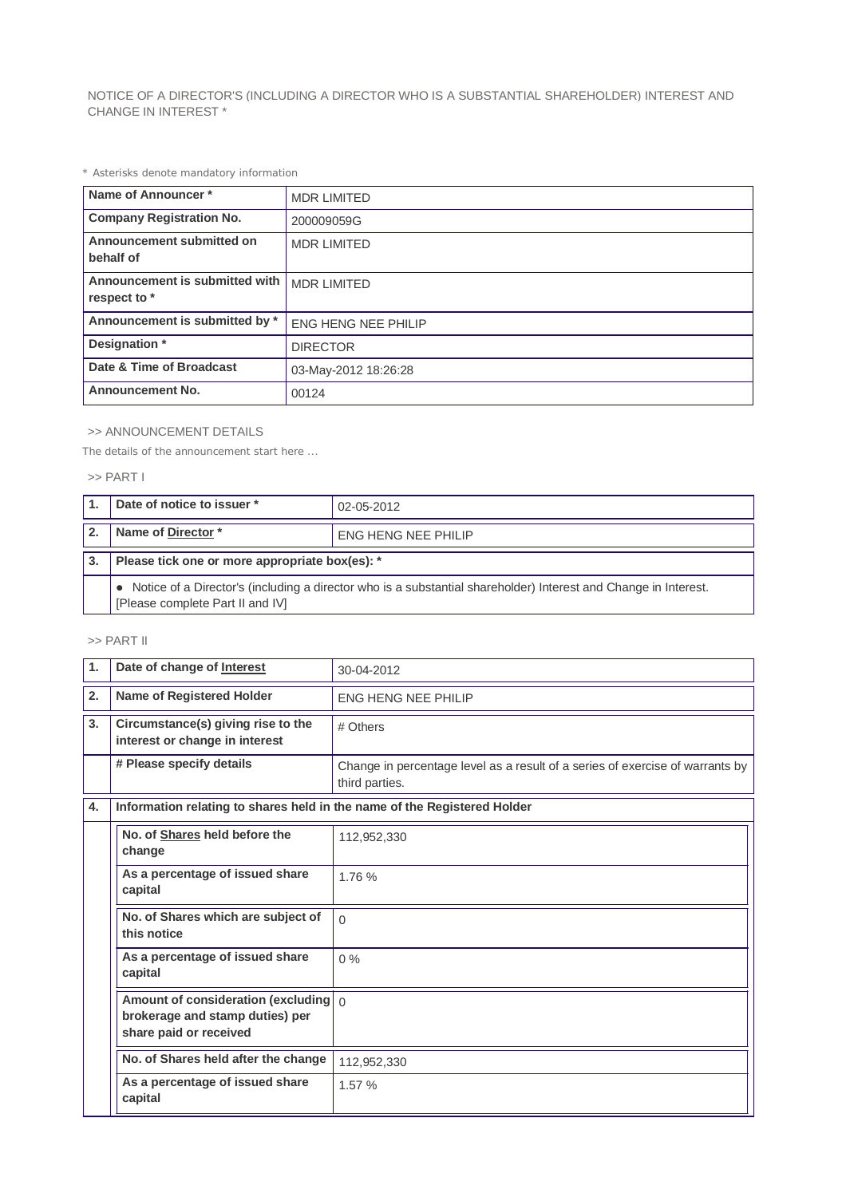NOTICE OF A DIRECTOR'S (INCLUDING A DIRECTOR WHO IS A SUBSTANTIAL SHAREHOLDER) INTEREST AND CHANGE IN INTEREST \*

*\* Asterisks denote mandatory information*

| Name of Announcer*                             | <b>MDR LIMITED</b>         |
|------------------------------------------------|----------------------------|
| <b>Company Registration No.</b>                | 200009059G                 |
| Announcement submitted on<br>behalf of         | <b>MDR LIMITED</b>         |
| Announcement is submitted with<br>respect to * | <b>MDR LIMITED</b>         |
| Announcement is submitted by *                 | <b>ENG HENG NEE PHILIP</b> |
| Designation *                                  | <b>DIRECTOR</b>            |
| Date & Time of Broadcast                       | 03-May-2012 18:26:28       |
| <b>Announcement No.</b>                        | 00124                      |

## >> ANNOUNCEMENT DETAILS

*The details of the announcement start here ...*

## >> PART I

| Date of notice to issuer *                                                                                                                          | 02-05-2012                 |  |
|-----------------------------------------------------------------------------------------------------------------------------------------------------|----------------------------|--|
| Name of Director*                                                                                                                                   | <b>ENG HENG NEE PHILIP</b> |  |
| Please tick one or more appropriate box(es): *                                                                                                      |                            |  |
| Notice of a Director's (including a director who is a substantial shareholder) Interest and Change in Interest.<br>[Please complete Part II and IV] |                            |  |

## >> PART II

| $\mathbf{1}$ | Date of change of Interest                                                                                 | 30-04-2012                                                                                      |  |
|--------------|------------------------------------------------------------------------------------------------------------|-------------------------------------------------------------------------------------------------|--|
| 2.           | Name of Registered Holder                                                                                  | <b>ENG HENG NEE PHILIP</b>                                                                      |  |
| 3.           | Circumstance(s) giving rise to the<br>interest or change in interest                                       | # Others                                                                                        |  |
|              | # Please specify details                                                                                   | Change in percentage level as a result of a series of exercise of warrants by<br>third parties. |  |
| 4.           | Information relating to shares held in the name of the Registered Holder                                   |                                                                                                 |  |
|              | No. of Shares held before the<br>change                                                                    | 112,952,330                                                                                     |  |
|              | As a percentage of issued share<br>capital                                                                 | 1.76%                                                                                           |  |
|              | No. of Shares which are subject of<br>this notice                                                          | $\Omega$                                                                                        |  |
|              | As a percentage of issued share<br>capital                                                                 | $0\%$                                                                                           |  |
|              | Amount of consideration (excluding $\int_0^1$<br>brokerage and stamp duties) per<br>share paid or received |                                                                                                 |  |
|              | No. of Shares held after the change                                                                        | 112,952,330                                                                                     |  |
|              | As a percentage of issued share<br>capital                                                                 | 1.57 %                                                                                          |  |